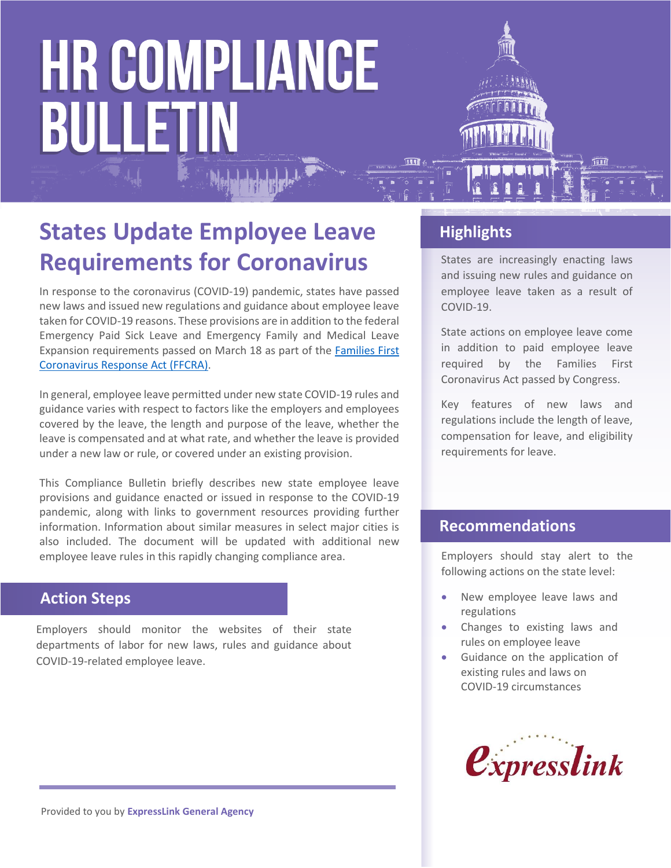

In response to the coronavirus (COVID-19) pandemic, states have passed new laws and issued new regulations and guidance about employee leave taken for COVID-19 reasons. These provisions are in addition to the federal Emergency Paid Sick Leave and Emergency Family and Medical Leave Expansion requirements passed on March 18 as part of the [Families First](https://www.dol.gov/agencies/whd/pandemic)  [Coronavirus Response Act](https://www.dol.gov/agencies/whd/pandemic) (FFCRA).

In general, employee leave permitted under new state COVID-19 rules and guidance varies with respect to factors like the employers and employees covered by the leave, the length and purpose of the leave, whether the leave is compensated and at what rate, and whether the leave is provided under a new law or rule, or covered under an existing provision.

This Compliance Bulletin briefly describes new state employee leave provisions and guidance enacted or issued in response to the COVID-19 pandemic, along with links to government resources providing further information. Information about similar measures in select major cities is also included. The document will be updated with additional new employee leave rules in this rapidly changing compliance area.

# **Action Steps**

Employers should monitor the websites of their state departments of labor for new laws, rules and guidance about COVID-19-related employee leave.

# **Highlights**

States are increasingly enacting laws and issuing new rules and guidance on employee leave taken as a result of COVID-19.

State actions on employee leave come in addition to paid employee leave required by the Families First Coronavirus Act passed by Congress.

Key features of new laws and regulations include the length of leave, compensation for leave, and eligibility requirements for leave.

## **Recommendations**

Employers should stay alert to the following actions on the state level:

- New employee leave laws and regulations
- Changes to existing laws and rules on employee leave
- Guidance on the application of existing rules and laws on COVID-19 circumstances

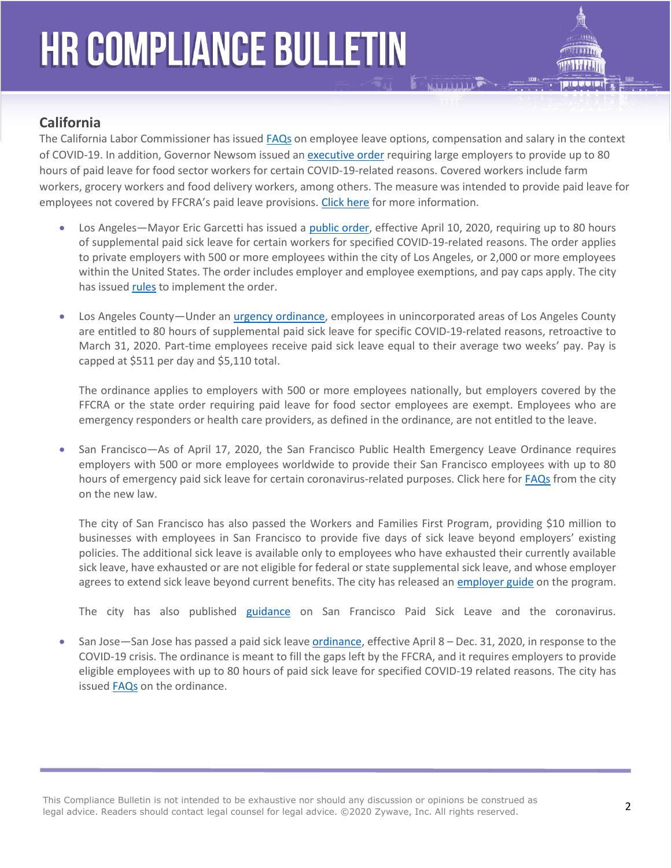

### **California**

The California Labor Commissioner has issued [FAQs](https://www.dir.ca.gov/dlse/2019-Novel-Coronavirus.htm) on employee leave options, compensation and salary in the context of COVID-19. In addition, Governor Newsom issued a[n executive order](https://www.gov.ca.gov/2020/04/16/governor-newsom-announces-paid-sick-leave-benefits-for-food-sector-workers-impacted-by-covid-19-additional-protections-for-consumers/) requiring large employers to provide up to 80 hours of paid leave for food sector workers for certain COVID-19-related reasons. Covered workers include farm workers, grocery workers and food delivery workers, among others. The measure was intended to provide paid leave for employees not covered by FFCRA's paid leave provisions. [Click here](https://www.gov.ca.gov/2020/04/16/governor-newsom-announces-paid-sick-leave-benefits-for-food-sector-workers-impacted-by-covid-19-additional-protections-for-consumers/) for more information.

- Los Angeles—Mayor Eric Garcetti has issued a [public order,](https://www.lamayor.org/sites/g/files/wph446/f/page/file/SUPPLEMENTALPAIDSICKLEAVE.pdf) effective April 10, 2020, requiring up to 80 hours of supplemental paid sick leave for certain workers for specified COVID-19-related reasons. The order applies to private employers with 500 or more employees within the city of Los Angeles, or 2,000 or more employees within the United States. The order includes employer and employee exemptions, and pay caps apply. The city has issue[d rules](https://wagesla.lacity.org/) to implement the order.
- Los Angeles County—Under an *urgency ordinance*, employees in unincorporated areas of Los Angeles County are entitled to 80 hours of supplemental paid sick leave for specific COVID-19-related reasons, retroactive to March 31, 2020. Part-time employees receive paid sick leave equal to their average two weeks' pay. Pay is capped at \$511 per day and \$5,110 total.

The ordinance applies to employers with 500 or more employees nationally, but employers covered by the FFCRA or the state order requiring paid leave for food sector employees are exempt. Employees who are emergency responders or health care providers, as defined in the ordinance, are not entitled to the leave.

• San Francisco—As of April 17, 2020, the San Francisco Public Health Emergency Leave Ordinance requires employers with 500 or more employees worldwide to provide their San Francisco employees with up to 80 hours of emergency paid sick leave for certain coronavirus-related purposes. Click here for [FAQs](https://sfgov.org/olse/sites/default/files/PHEL%20FAQ%2004.17.20.pdf) from the city on the new law.

The city of San Francisco has also passed the Workers and Families First Program, providing \$10 million to businesses with employees in San Francisco to provide five days of sick leave beyond employers' existing policies. The additional sick leave is available only to employees who have exhausted their currently available sick leave, have exhausted or are not eligible for federal or state supplemental sick leave, and whose employer agrees to extend sick leave beyond current benefits. The city has released an [employer guide](https://sf.gov/step-by-step/get-reimbursed-paying-your-sf-staff-extra-sick-time) on the program.

The city has also published [guidance](https://sfgov.org/olse/san-francisco-paid-sick-leave-coronavirus) on San Francisco Paid Sick Leave and the coronavirus.

• San Jose—San Jose has passed a paid sick leave [ordinance,](https://www.sanjoseca.gov/?navid=5492) effective April 8 – Dec. 31, 2020, in response to the COVID-19 crisis. The ordinance is meant to fill the gaps left by the FFCRA, and it requires employers to provide eligible employees with up to 80 hours of paid sick leave for specified COVID-19 related reasons. The city has issue[d FAQs](https://www.sanjoseca.gov/home/showdocument?id=56786) on the ordinance.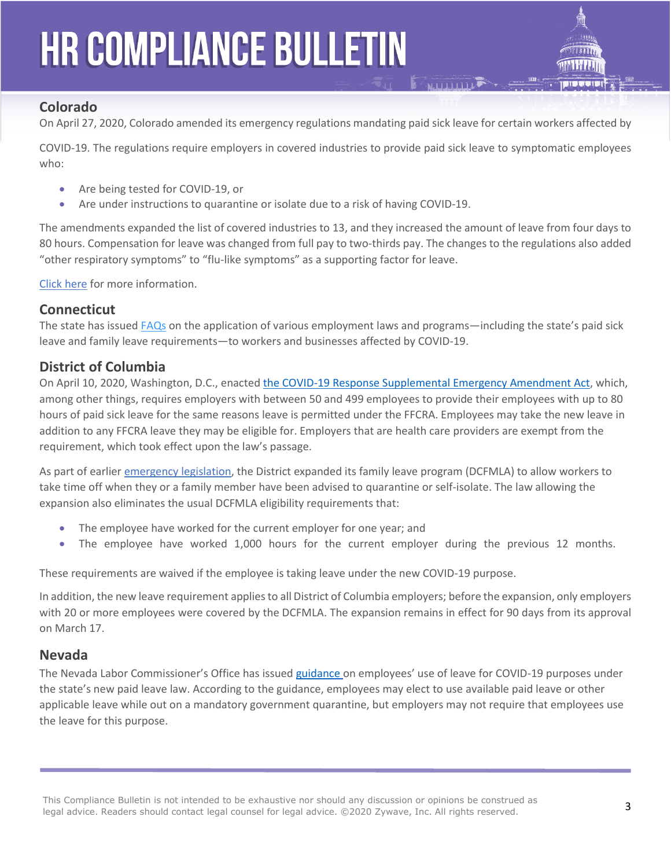

#### **Colorado**

On April 27, 2020, Colorado amended its emergency regulations mandating paid sick leave for certain workers affected by

COVID-19. The regulations require employers in covered industries to provide paid sick leave to symptomatic employees who:

- Are being tested for COVID-19, or
- Are under instructions to quarantine or isolate due to a risk of having COVID-19.

The amendments expanded the list of covered industries to 13, and they increased the amount of leave from four days to 80 hours. Compensation for leave was changed from full pay to two-thirds pay. The changes to the regulations also added "other respiratory symptoms" to "flu-like symptoms" as a supporting factor for leave.

[Click here](https://www.colorado.gov/pacific/cdle/colorado-health-emergency-leave-pay-%E2%80%9Ccolorado-help%E2%80%9D-rules) for more information.

#### **Connecticut**

The state has issue[d FAQs](https://www.google.com/url?sa=t&rct=j&q=&esrc=s&source=web&cd=2&ved=2ahUKEwid6uLgs7voAhWDK80KHXTZD1oQFjABegQIAxAB&url=https%3A%2F%2Fportal.ct.gov%2F-%2Fmedia%2FCoronavirus%2FCOVID-19-FAQs.pdf%3Fla%3Den&usg=AOvVaw20ZD6752A-TPzFxygir0w1) on the application of various employment laws and programs—including the state's paid sick leave and family leave requirements—to workers and businesses affected by COVID-19.

#### **District of Columbia**

On April 10, 2020, Washington, D.C., enacted [the COVID-19 Response Supplemental Emergency Amendment Act,](https://code.dccouncil.us/dc/council/acts/23-286.html) which, among other things, requires employers with between 50 and 499 employees to provide their employees with up to 80 hours of paid sick leave for the same reasons leave is permitted under the FFCRA. Employees may take the new leave in addition to any FFCRA leave they may be eligible for. Employers that are health care providers are exempt from the requirement, which took effect upon the law's passage.

As part of earlier [emergency legislation,](http://lims.dccouncil.us/Legislation/B23-0718) the District expanded its family leave program (DCFMLA) to allow workers to take time off when they or a family member have been advised to quarantine or self-isolate. The law allowing the expansion also eliminates the usual DCFMLA eligibility requirements that:

- The employee have worked for the current employer for one year; and
- The employee have worked 1,000 hours for the current employer during the previous 12 months.

These requirements are waived if the employee is taking leave under the new COVID-19 purpose.

In addition, the new leave requirement applies to all District of Columbia employers; before the expansion, only employers with 20 or more employees were covered by the DCFMLA. The expansion remains in effect for 90 days from its approval on March 17.

#### **Nevada**

The Nevada Labor Commissioner's Office has issued [guidance](http://labor.nv.gov/uploadedFiles/labornvgov/content/Employer/COVID-19%20Leave%20Guidance.pdf) on employees' use of leave for COVID-19 purposes under the state's new paid leave law. According to the guidance, employees may elect to use available paid leave or other applicable leave while out on a mandatory government quarantine, but employers may not require that employees use the leave for this purpose.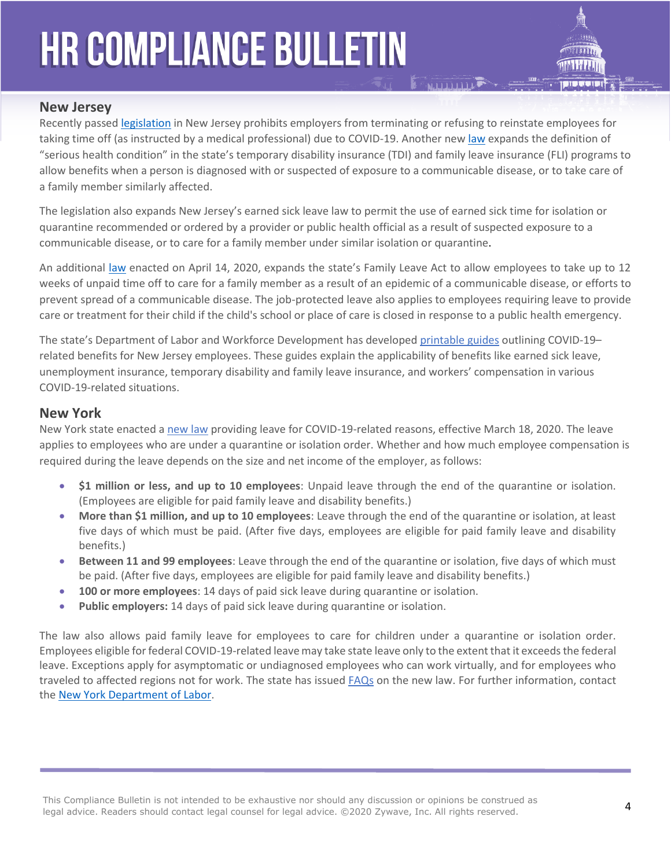

#### **New Jersey**

Recently passe[d legislation](https://www.njleg.state.nj.us/2020/Bills/A4000/3848_I1.HTM) in New Jersey prohibits employers from terminating or refusing to reinstate employees for taking time off (as instructed by a medical professional) due to COVID-19. Another new [law](https://www.njleg.state.nj.us/2020/Bills/S2500/2304_I1.HTM) expands the definition of "serious health condition" in the state's temporary disability insurance (TDI) and family leave insurance (FLI) programs to allow benefits when a person is diagnosed with or suspected of exposure to a communicable disease, or to take care of a family member similarly affected.

The legislation also expands New Jersey's earned sick leave law to permit the use of earned sick time for isolation or quarantine recommended or ordered by a provider or public health official as a result of suspected exposure to a communicable disease, or to care for a family member under similar isolation or quarantine.

An additional [law](https://www.njleg.state.nj.us/2020/Bills/S2500/2374_I1.HTM) enacted on April 14, 2020, expands the state's Family Leave Act to allow employees to take up to 12 weeks of unpaid time off to care for a family member as a result of an epidemic of a communicable disease, or efforts to prevent spread of a communicable disease. The job-protected leave also applies to employees requiring leave to provide care or treatment for their child if the child's school or place of care is closed in response to a public health emergency.

The state's Department of Labor and Workforce Development has develope[d printable guides](https://www.nj.gov/labor/worker-protections/earnedsick/covid.shtml) outlining COVID-19– related benefits for New Jersey employees. These guides explain the applicability of benefits like earned sick leave, unemployment insurance, temporary disability and family leave insurance, and workers' compensation in various COVID-19-related situations.

#### **New York**

New York state enacted [a new law](https://nyassembly.gov/leg/?default_fld=&leg_video=&bn=SB8091&term=0&Summary=Y&Actions=Y&Text=Y) providing leave for COVID-19-related reasons, effective March 18, 2020. The leave applies to employees who are under a quarantine or isolation order. Whether and how much employee compensation is required during the leave depends on the size and net income of the employer, as follows:

- **\$1 million or less, and up to 10 employees**: Unpaid leave through the end of the quarantine or isolation. (Employees are eligible for paid family leave and disability benefits.)
- **More than \$1 million, and up to 10 employees**: Leave through the end of the quarantine or isolation, at least five days of which must be paid. (After five days, employees are eligible for paid family leave and disability benefits.)
- **Between 11 and 99 employees**: Leave through the end of the quarantine or isolation, five days of which must be paid. (After five days, employees are eligible for paid family leave and disability benefits.)
- **100 or more employees**: 14 days of paid sick leave during quarantine or isolation.
- **Public employers:** 14 days of paid sick leave during quarantine or isolation.

The law also allows paid family leave for employees to care for children under a quarantine or isolation order. Employees eligible for federal COVID-19-related leave may take state leave only to the extent that it exceeds the federal leave. Exceptions apply for asymptomatic or undiagnosed employees who can work virtually, and for employees who traveled to affected regions not for work. The state has issued [FAQs](https://paidfamilyleave.ny.gov/new-york-paid-family-leave-covid-19-faqs) on the new law. For further information, contact the [New York Department of Labor.](https://www.labor.ny.gov/home/)